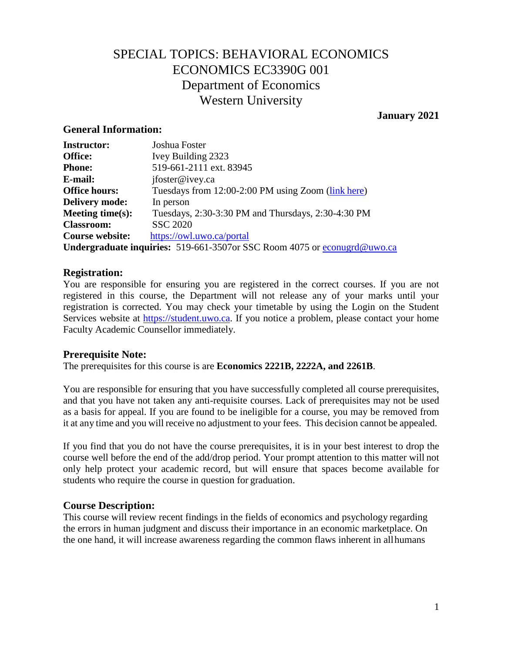# SPECIAL TOPICS: BEHAVIORAL ECONOMICS ECONOMICS EC3390G 001 Department of Economics Western University

### **January 2021**

### **General Information:**

| <b>Instructor:</b>    | Joshua Foster                                                                    |
|-----------------------|----------------------------------------------------------------------------------|
| <b>Office:</b>        | Ivey Building 2323                                                               |
| <b>Phone:</b>         | 519-661-2111 ext. 83945                                                          |
| E-mail:               | jfoster@ivey.ca                                                                  |
| <b>Office hours:</b>  | Tuesdays from 12:00-2:00 PM using Zoom (link here)                               |
| <b>Delivery mode:</b> | In person                                                                        |
| Meeting time $(s)$ :  | Tuesdays, 2:30-3:30 PM and Thursdays, 2:30-4:30 PM                               |
| <b>Classroom:</b>     | <b>SSC 2020</b>                                                                  |
| Course website:       | https://owl.uwo.ca/portal                                                        |
|                       | <b>Undergraduate inquiries:</b> 519-661-3507 or SSC Room 4075 or econugra@uwo.ca |

### **Registration:**

You are responsible for ensuring you are registered in the correct courses. If you are not registered in this course, the Department will not release any of your marks until your registration is corrected. You may check your timetable by using the Login on the Student Services website at [https://student.uwo.ca.](https://student.uwo.ca/) If you notice a problem, please contact your home Faculty Academic Counsellor immediately.

### **Prerequisite Note:**

The prerequisites for this course is are **Economics 2221B, 22***2***2A, and 2261B**.

You are responsible for ensuring that you have successfully completed all course prerequisites, and that you have not taken any anti-requisite courses. Lack of prerequisites may not be used as a basis for appeal. If you are found to be ineligible for a course, you may be removed from it at any time and you will receive no adjustment to your fees. This decision cannot be appealed.

If you find that you do not have the course prerequisites, it is in your best interest to drop the course well before the end of the add/drop period. Your prompt attention to this matter will not only help protect your academic record, but will ensure that spaces become available for students who require the course in question for graduation.

### **Course Description:**

This course will review recent findings in the fields of economics and psychology regarding the errors in human judgment and discuss their importance in an economic marketplace. On the one hand, it will increase awareness regarding the common flaws inherent in allhumans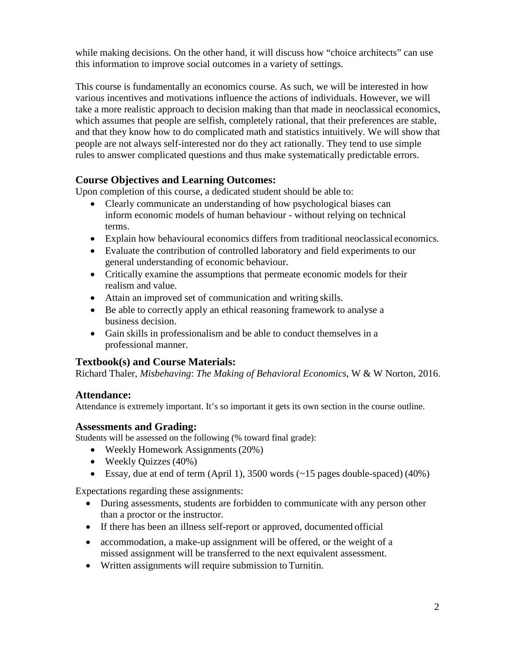while making decisions. On the other hand, it will discuss how "choice architects" can use this information to improve social outcomes in a variety of settings.

This course is fundamentally an economics course. As such, we will be interested in how various incentives and motivations influence the actions of individuals. However, we will take a more realistic approach to decision making than that made in neoclassical economics, which assumes that people are selfish, completely rational, that their preferences are stable, and that they know how to do complicated math and statistics intuitively. We will show that people are not always self-interested nor do they act rationally. They tend to use simple rules to answer complicated questions and thus make systematically predictable errors.

# **Course Objectives and Learning Outcomes:**

Upon completion of this course, a dedicated student should be able to:

- Clearly communicate an understanding of how psychological biases can inform economic models of human behaviour - without relying on technical terms.
- Explain how behavioural economics differs from traditional neoclassical economics.
- Evaluate the contribution of controlled laboratory and field experiments to our general understanding of economic behaviour.
- Critically examine the assumptions that permeate economic models for their realism and value.
- Attain an improved set of communication and writing skills.
- Be able to correctly apply an ethical reasoning framework to analyse a business decision.
- Gain skills in professionalism and be able to conduct themselves in a professional manner.

# **Textbook(s) and Course Materials:**

Richard Thaler, *Misbehaving*: *The Making of Behavioral Economics*, W & W Norton, 2016.

# **Attendance:**

Attendance is extremely important. It's so important it gets its own section in the course outline.

### **Assessments and Grading:**

Students will be assessed on the following (% toward final grade):

- Weekly Homework Assignments (20%)
- Weekly Quizzes (40%)
- Essay, due at end of term (April 1), 3500 words  $(\sim 15$  pages double-spaced) (40%)

Expectations regarding these assignments:

- During assessments, students are forbidden to communicate with any person other than a proctor or the instructor.
- If there has been an illness self-report or approved, documented official
- accommodation, a make-up assignment will be offered, or the weight of a missed assignment will be transferred to the next equivalent assessment.
- Written assignments will require submission to Turnitin.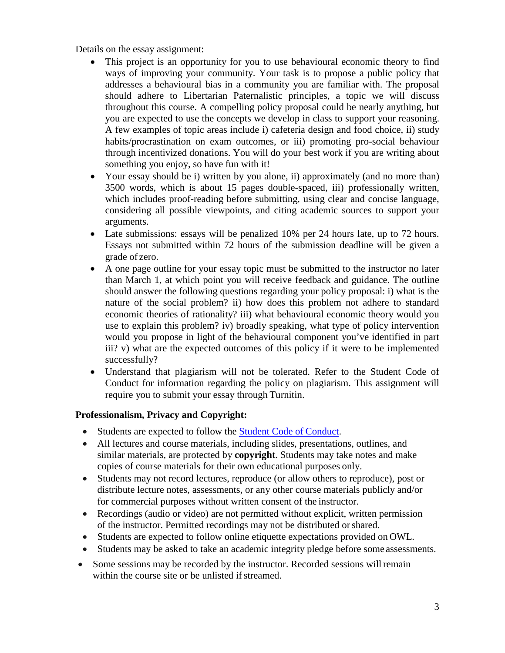Details on the essay assignment:

- This project is an opportunity for you to use behavioural economic theory to find ways of improving your community. Your task is to propose a public policy that addresses a behavioural bias in a community you are familiar with. The proposal should adhere to Libertarian Paternalistic principles, a topic we will discuss throughout this course. A compelling policy proposal could be nearly anything, but you are expected to use the concepts we develop in class to support your reasoning. A few examples of topic areas include i) cafeteria design and food choice, ii) study habits/procrastination on exam outcomes, or iii) promoting pro-social behaviour through incentivized donations. You will do your best work if you are writing about something you enjoy, so have fun with it!
- Your essay should be i) written by you alone, ii) approximately (and no more than) 3500 words, which is about 15 pages double-spaced, iii) professionally written, which includes proof-reading before submitting, using clear and concise language, considering all possible viewpoints, and citing academic sources to support your arguments.
- Late submissions: essays will be penalized 10% per 24 hours late, up to 72 hours. Essays not submitted within 72 hours of the submission deadline will be given a grade of zero.
- A one page outline for your essay topic must be submitted to the instructor no later than March 1, at which point you will receive feedback and guidance. The outline should answer the following questions regarding your policy proposal: i) what is the nature of the social problem? ii) how does this problem not adhere to standard economic theories of rationality? iii) what behavioural economic theory would you use to explain this problem? iv) broadly speaking, what type of policy intervention would you propose in light of the behavioural component you've identified in part iii? v) what are the expected outcomes of this policy if it were to be implemented successfully?
- Understand that plagiarism will not be tolerated. Refer to the Student Code of Conduct for information regarding the policy on plagiarism. This assignment will require you to submit your essay through Turnitin.

### **Professionalism, Privacy and Copyright:**

- Students are expected to follow the [Student Code of](https://www.uwo.ca/univsec/pdf/board/code.pdf) Conduct.
- All lectures and course materials, including slides, presentations, outlines, and similar materials, are protected by **copyright**. Students may take notes and make copies of course materials for their own educational purposes only.
- Students may not record lectures, reproduce (or allow others to reproduce), post or distribute lecture notes, assessments, or any other course materials publicly and/or for commercial purposes without written consent of the instructor.
- Recordings (audio or video) are not permitted without explicit, written permission of the instructor. Permitted recordings may not be distributed orshared.
- Students are expected to follow online etiquette expectations provided on OWL.
- Students may be asked to take an academic integrity pledge before some assessments.
- Some sessions may be recorded by the instructor. Recorded sessions will remain within the course site or be unlisted if streamed.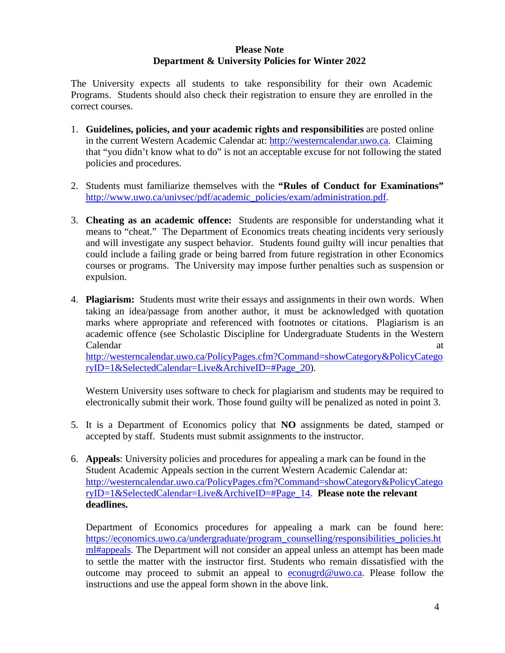#### **Please Note Department & University Policies for Winter 2022**

The University expects all students to take responsibility for their own Academic Programs. Students should also check their registration to ensure they are enrolled in the correct courses.

- 1. **Guidelines, policies, and your academic rights and responsibilities** are posted online in the current Western Academic Calendar at: [http://westerncalendar.uwo.ca.](http://westerncalendar.uwo.ca/) Claiming that "you didn't know what to do" is not an acceptable excuse for not following the stated policies and procedures.
- 2. Students must familiarize themselves with the **"Rules of Conduct for Examinations"** [http://www.uwo.ca/univsec/pdf/academic\\_policies/exam/administration.pdf.](http://www.uwo.ca/univsec/pdf/academic_policies/exam/administration.pdf)
- 3. **Cheating as an academic offence:** Students are responsible for understanding what it means to "cheat." The Department of Economics treats cheating incidents very seriously and will investigate any suspect behavior. Students found guilty will incur penalties that could include a failing grade or being barred from future registration in other Economics courses or programs. The University may impose further penalties such as suspension or expulsion.
- 4. **Plagiarism:** Students must write their essays and assignments in their own words. When taking an idea/passage from another author, it must be acknowledged with quotation marks where appropriate and referenced with footnotes or citations. Plagiarism is an academic offence (see Scholastic Discipline for Undergraduate Students in the Western Calendar at a strong service of  $\alpha$  at a strong service  $\alpha$  at a strong service  $\alpha$  at a strong service  $\alpha$  at a strong service  $\alpha$  at a strong service  $\alpha$  such a strong service  $\alpha$  such a strong service  $\alpha$  such a [http://westerncalendar.uwo.ca/PolicyPages.cfm?Command=showCategory&PolicyCatego](http://westerncalendar.uwo.ca/PolicyPages.cfm?Command=showCategory&PolicyCategoryID=1&SelectedCalendar=Live&ArchiveID=#Page_20) [ryID=1&SelectedCalendar=Live&ArchiveID=#Page\\_20\)](http://westerncalendar.uwo.ca/PolicyPages.cfm?Command=showCategory&PolicyCategoryID=1&SelectedCalendar=Live&ArchiveID=#Page_20).

Western University uses software to check for plagiarism and students may be required to electronically submit their work. Those found guilty will be penalized as noted in point 3.

- 5. It is a Department of Economics policy that **NO** assignments be dated, stamped or accepted by staff. Students must submit assignments to the instructor.
- 6. **Appeals**: University policies and procedures for appealing a mark can be found in the Student Academic Appeals section in the current Western Academic Calendar at: [http://westerncalendar.uwo.ca/PolicyPages.cfm?Command=showCategory&PolicyCatego](http://westerncalendar.uwo.ca/PolicyPages.cfm?Command=showCategory&PolicyCategoryID=1&SelectedCalendar=Live&ArchiveID=#Page_14) [ryID=1&SelectedCalendar=Live&ArchiveID=#Page\\_14.](http://westerncalendar.uwo.ca/PolicyPages.cfm?Command=showCategory&PolicyCategoryID=1&SelectedCalendar=Live&ArchiveID=#Page_14) **Please note the relevant deadlines.**

Department of Economics procedures for appealing a mark can be found here: [https://economics.uwo.ca/undergraduate/program\\_counselling/responsibilities\\_policies.ht](https://economics.uwo.ca/undergraduate/program_counselling/responsibilities_policies.html#appeals) [ml#appeals.](https://economics.uwo.ca/undergraduate/program_counselling/responsibilities_policies.html#appeals) The Department will not consider an appeal unless an attempt has been made to settle the matter with the instructor first. Students who remain dissatisfied with the outcome may proceed to submit an appeal to [econugrd@uwo.ca.](mailto:econugrd@uwo.ca) Please follow the instructions and use the appeal form shown in the above link.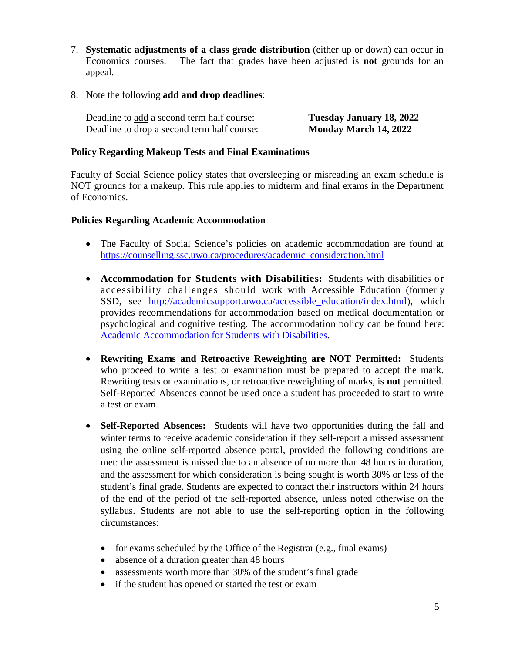- 7. **Systematic adjustments of a class grade distribution** (either up or down) can occur in Economics courses. The fact that grades have been adjusted is **not** grounds for an appeal.
- 8. Note the following **add and drop deadlines**:

| Deadline to add a second term half course:  | Tuesday January 18, 2022 |
|---------------------------------------------|--------------------------|
| Deadline to drop a second term half course: | Monday March 14, 2022    |

### **Policy Regarding Makeup Tests and Final Examinations**

Faculty of Social Science policy states that oversleeping or misreading an exam schedule is NOT grounds for a makeup. This rule applies to midterm and final exams in the Department of Economics.

### **Policies Regarding Academic Accommodation**

- The Faculty of Social Science's policies on academic accommodation are found at [https://counselling.ssc.uwo.ca/procedures/academic\\_consideration.html](https://counselling.ssc.uwo.ca/procedures/academic_consideration.html)
- **Accommodation for Students with Disabilities:** Students with disabilities or accessibility challenges should work with Accessible Education (formerly SSD, see [http://academicsupport.uwo.ca/accessible\\_education/index.html\)](http://academicsupport.uwo.ca/accessible_education/index.html), which provides recommendations for accommodation based on medical documentation or psychological and cognitive testing. The accommodation policy can be found here: [Academic Accommodation for Students with Disabilities.](https://www.uwo.ca/univsec/pdf/academic_policies/appeals/Academic%20Accommodation_disabilities.pdf)
- **Rewriting Exams and Retroactive Reweighting are NOT Permitted:** Students who proceed to write a test or examination must be prepared to accept the mark. Rewriting tests or examinations, or retroactive reweighting of marks, is **not** permitted. Self-Reported Absences cannot be used once a student has proceeded to start to write a test or exam.
- **Self-Reported Absences:** Students will have two opportunities during the fall and winter terms to receive academic consideration if they self-report a missed assessment using the online self-reported absence portal, provided the following conditions are met: the assessment is missed due to an absence of no more than 48 hours in duration, and the assessment for which consideration is being sought is worth 30% or less of the student's final grade. Students are expected to contact their instructors within 24 hours of the end of the period of the self-reported absence, unless noted otherwise on the syllabus. Students are not able to use the self-reporting option in the following circumstances:
	- for exams scheduled by the Office of the Registrar (e.g., final exams)
	- absence of a duration greater than 48 hours
	- assessments worth more than 30% of the student's final grade
	- if the student has opened or started the test or exam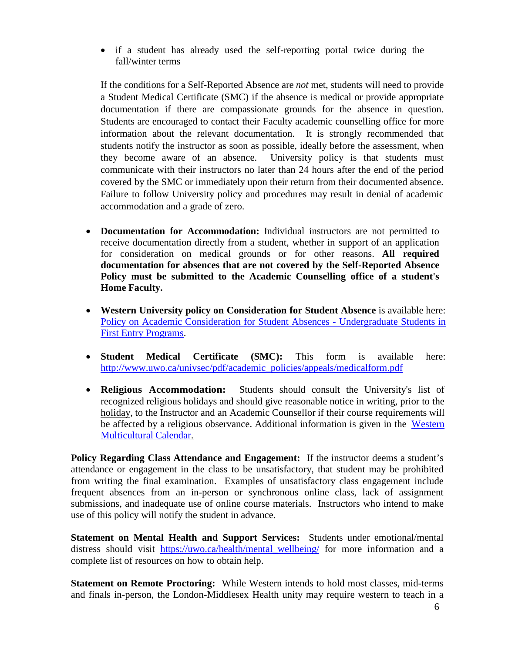• if a student has already used the self-reporting portal twice during the fall/winter terms

If the conditions for a Self-Reported Absence are *not* met, students will need to provide a Student Medical Certificate (SMC) if the absence is medical or provide appropriate documentation if there are compassionate grounds for the absence in question. Students are encouraged to contact their Faculty academic counselling office for more information about the relevant documentation. It is strongly recommended that students notify the instructor as soon as possible, ideally before the assessment, when they become aware of an absence. University policy is that students must communicate with their instructors no later than 24 hours after the end of the period covered by the SMC or immediately upon their return from their documented absence. Failure to follow University policy and procedures may result in denial of academic accommodation and a grade of zero.

- **Documentation for Accommodation:** Individual instructors are not permitted to receive documentation directly from a student, whether in support of an application for consideration on medical grounds or for other reasons. **All required documentation for absences that are not covered by the Self-Reported Absence Policy must be submitted to the Academic Counselling office of a student's Home Faculty.**
- **Western University policy on Consideration for Student Absence** is available here: [Policy on Academic Consideration for Student Absences -](https://www.uwo.ca/univsec/pdf/academic_policies/appeals/accommodation_illness.pdf) Undergraduate Students in [First Entry Programs.](https://www.uwo.ca/univsec/pdf/academic_policies/appeals/accommodation_illness.pdf)
- **Student Medical Certificate (SMC):** This form is available here: [http://www.uwo.ca/univsec/pdf/academic\\_policies/appeals/medicalform.pdf](http://www.uwo.ca/univsec/pdf/academic_policies/appeals/medicalform.pdf)
- **Religious Accommodation:** Students should consult the University's list of recognized religious holidays and should give reasonable notice in writing, prior to the holiday, to the Instructor and an Academic Counsellor if their course requirements will be affected by a religious observance. Additional information is given in the [Western](https://multiculturalcalendar.com/ecal/index.php?s=c-univwo) [Multicultural](https://multiculturalcalendar.com/ecal/index.php?s=c-univwo) Calendar.

**Policy Regarding Class Attendance and Engagement:** If the instructor deems a student's attendance or engagement in the class to be unsatisfactory, that student may be prohibited from writing the final examination. Examples of unsatisfactory class engagement include frequent absences from an in-person or synchronous online class, lack of assignment submissions, and inadequate use of online course materials. Instructors who intend to make use of this policy will notify the student in advance.

**Statement on Mental Health and Support Services:** Students under emotional/mental distress should visit https://uwo.ca/health/mental wellbeing/ for more information and a complete list of resources on how to obtain help.

**Statement on Remote Proctoring:** While Western intends to hold most classes, mid-terms and finals in-person, the London-Middlesex Health unity may require western to teach in a